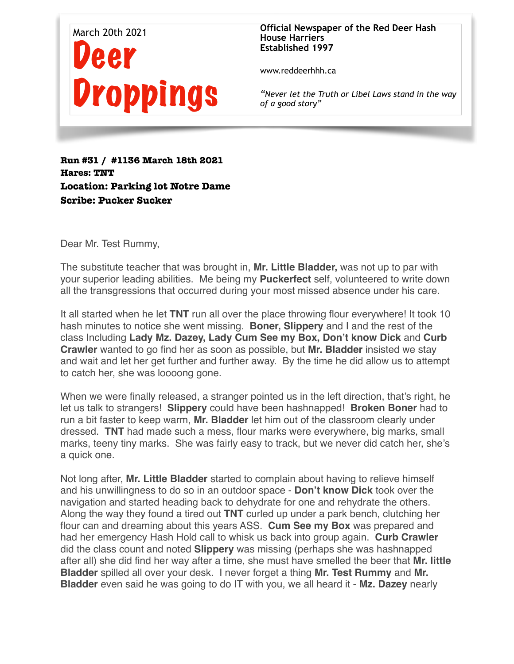

**Official Newspaper of the Red Deer Hash House Harriers Established 1997** 

www.reddeerhhh.ca

*"Never let the Truth or Libel Laws stand in the way of a good story"*

**Run #31 / #1136 March 18th 2021 Hares: TNT Location: Parking lot Notre Dame Scribe: Pucker Sucker** 

Dear Mr. Test Rummy,

The substitute teacher that was brought in, **Mr. Little Bladder,** was not up to par with your superior leading abilities. Me being my **Puckerfect** self, volunteered to write down all the transgressions that occurred during your most missed absence under his care.

It all started when he let **TNT** run all over the place throwing flour everywhere! It took 10 hash minutes to notice she went missing. **Boner, Slippery** and I and the rest of the class Including **Lady Mz. Dazey, Lady Cum See my Box, Don't know Dick** and **Curb Crawler** wanted to go find her as soon as possible, but **Mr. Bladder** insisted we stay and wait and let her get further and further away. By the time he did allow us to attempt to catch her, she was loooong gone.

When we were finally released, a stranger pointed us in the left direction, that's right, he let us talk to strangers! **Slippery** could have been hashnapped! **Broken Boner** had to run a bit faster to keep warm, **Mr. Bladder** let him out of the classroom clearly under dressed. **TNT** had made such a mess, flour marks were everywhere, big marks, small marks, teeny tiny marks. She was fairly easy to track, but we never did catch her, she's a quick one.

Not long after, **Mr. Little Bladder** started to complain about having to relieve himself and his unwillingness to do so in an outdoor space - **Don't know Dick** took over the navigation and started heading back to dehydrate for one and rehydrate the others. Along the way they found a tired out **TNT** curled up under a park bench, clutching her flour can and dreaming about this years ASS. **Cum See my Box** was prepared and had her emergency Hash Hold call to whisk us back into group again. **Curb Crawler** did the class count and noted **Slippery** was missing (perhaps she was hashnapped after all) she did find her way after a time, she must have smelled the beer that **Mr. little Bladder** spilled all over your desk. I never forget a thing **Mr. Test Rummy** and **Mr. Bladder** even said he was going to do IT with you, we all heard it - **Mz. Dazey** nearly